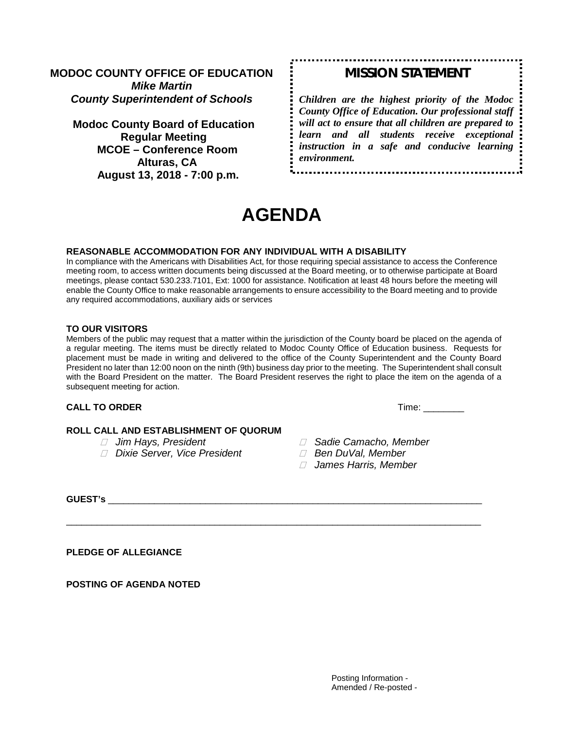## **MODOC COUNTY OFFICE OF EDUCATION** *Mike Martin County Superintendent of Schools*

**Modoc County Board of Education Regular Meeting MCOE – Conference Room Alturas, CA August 13, 2018 - 7:00 p.m.**

# *MISSION STATEMENT*

*Children are the highest priority of the Modoc County Office of Education. Our professional staff will act to ensure that all children are prepared to learn and all students receive exceptional instruction in a safe and conducive learning environment.*

# **AGENDA**

#### **REASONABLE ACCOMMODATION FOR ANY INDIVIDUAL WITH A DISABILITY**

In compliance with the Americans with Disabilities Act, for those requiring special assistance to access the Conference meeting room, to access written documents being discussed at the Board meeting, or to otherwise participate at Board meetings, please contact 530.233.7101, Ext: 1000 for assistance. Notification at least 48 hours before the meeting will enable the County Office to make reasonable arrangements to ensure accessibility to the Board meeting and to provide any required accommodations, auxiliary aids or services

#### **TO OUR VISITORS**

Members of the public may request that a matter within the jurisdiction of the County board be placed on the agenda of a regular meeting. The items must be directly related to Modoc County Office of Education business. Requests for placement must be made in writing and delivered to the office of the County Superintendent and the County Board President no later than 12:00 noon on the ninth (9th) business day prior to the meeting. The Superintendent shall consult with the Board President on the matter. The Board President reserves the right to place the item on the agenda of a subsequent meeting for action.

\_\_\_\_\_\_\_\_\_\_\_\_\_\_\_\_\_\_\_\_\_\_\_\_\_\_\_\_\_\_\_\_\_\_\_\_\_\_\_\_\_\_\_\_\_\_\_\_\_\_\_\_\_\_\_\_\_\_\_\_\_\_\_\_\_\_\_\_\_\_\_\_\_\_\_\_\_\_\_\_\_

#### **CALL TO ORDER Time:**  $\blacksquare$

# **ROLL CALL AND ESTABLISHMENT OF QUORUM**<br> *I* Jim Hays, President

- 
- *<i>* $\Box$  Dixie Server, Vice President
- *⊡ Sadie Camacho, Member<br>□ Ben DuVal, Member* 
	-
	- *James Harris, Member*

**GUEST's** \_\_\_\_\_\_\_\_\_\_\_\_\_\_\_\_\_\_\_\_\_\_\_\_\_\_\_\_\_\_\_\_\_\_\_\_\_\_\_\_\_\_\_\_\_\_\_\_\_\_\_\_\_\_\_\_\_\_\_\_\_\_\_\_\_\_\_\_\_\_\_\_\_

**PLEDGE OF ALLEGIANCE**

**POSTING OF AGENDA NOTED**